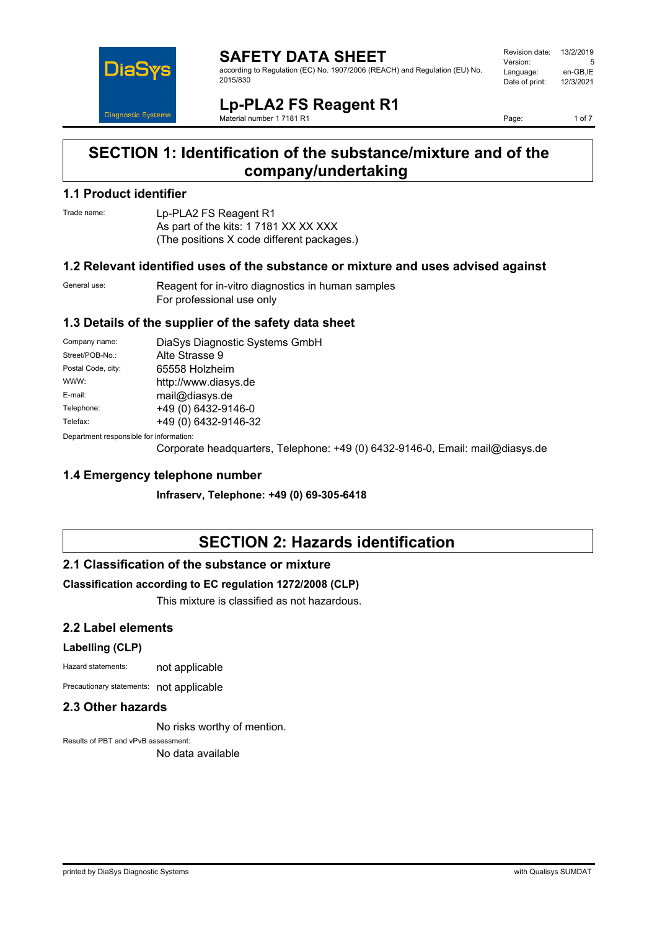

#### **SAFETY DATA SHEET** according to Regulation (EC) No. 1907/2006 (REACH) and Regulation (EU) No. 2015/830

Revision date: 13/2/2019 Version: 5<br>
Language: en-GB.IE Language: en-GB,IE<br>Date of print: 12/3/2021 Date of print:

**Lp-PLA2 FS Reagent R1** Material number 1 7181 R1

Page: 1 of 7

# **SECTION 1: Identification of the substance/mixture and of the company/undertaking**

#### **1.1 Product identifier**

Trade name: Lp-PLA2 FS Reagent R1 As part of the kits: 1 7181 XX XX XXX (The positions X code different packages.)

### **1.2 Relevant identified uses of the substance or mixture and uses advised against**

General use: Reagent for in-vitro diagnostics in human samples For professional use only

### **1.3 Details of the supplier of the safety data sheet**

| Company name:                                            | DiaSys Diagnostic Systems GmbH |
|----------------------------------------------------------|--------------------------------|
| Street/POB-No.:                                          | Alte Strasse 9                 |
| Postal Code, city:                                       | 65558 Holzheim                 |
| WWW:                                                     | http://www.diasys.de           |
| E-mail:                                                  | mail@diasys.de                 |
| Telephone:                                               | +49 (0) 6432-9146-0            |
| Telefax:                                                 | +49 (0) 6432-9146-32           |
| Description and an americally from the former of the co- |                                |

Department responsible for information:

Corporate headquarters, Telephone: +49 (0) 6432-9146-0, Email: mail@diasys.de

### **1.4 Emergency telephone number**

**Infraserv, Telephone: +49 (0) 69-305-6418**

# **SECTION 2: Hazards identification**

### **2.1 Classification of the substance or mixture**

#### **Classification according to EC regulation 1272/2008 (CLP)**

This mixture is classified as not hazardous.

### **2.2 Label elements**

#### **Labelling (CLP)**

Hazard statements: not applicable

Precautionary statements: not applicable

#### **2.3 Other hazards**

No risks worthy of mention.

Results of PBT and vPvB assessment: No data available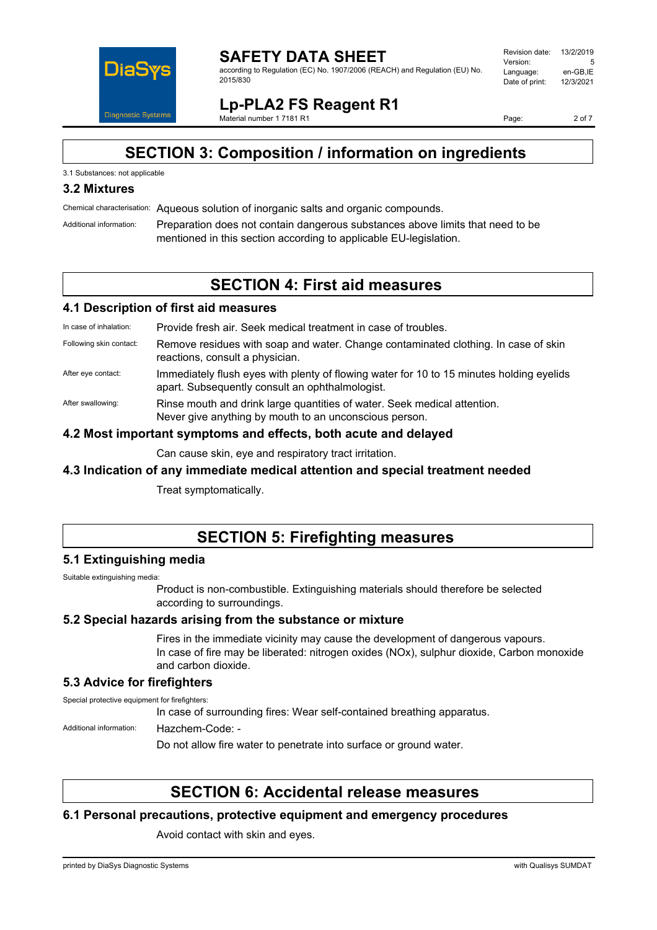

according to Regulation (EC) No. 1907/2006 (REACH) and Regulation (EU) No. 2015/830

| Revision date: | 13/2/2019 |
|----------------|-----------|
| Version:       | 5         |
| Language:      | en-GB.IE  |
| Date of print: | 12/3/2021 |
|                |           |

**Lp-PLA2 FS Reagent R1** Material number 1 7181 R1

Page: 2 of 7

# **SECTION 3: Composition / information on ingredients**

#### 3.1 Substances: not applicable

### **3.2 Mixtures**

Chemical characterisation: Aqueous solution of inorganic salts and organic compounds.

Additional information: Preparation does not contain dangerous substances above limits that need to be mentioned in this section according to applicable EU-legislation.

# **SECTION 4: First aid measures**

#### **4.1 Description of first aid measures**

| In case of inhalation:  | Provide fresh air. Seek medical treatment in case of troubles.                                                                              |
|-------------------------|---------------------------------------------------------------------------------------------------------------------------------------------|
| Following skin contact: | Remove residues with soap and water. Change contaminated clothing. In case of skin<br>reactions, consult a physician.                       |
| After eye contact:      | Immediately flush eyes with plenty of flowing water for 10 to 15 minutes holding eyelids<br>apart. Subsequently consult an ophthalmologist. |
| After swallowing:       | Rinse mouth and drink large quantities of water. Seek medical attention.<br>Never give anything by mouth to an unconscious person.          |
|                         | 4.0 Meet beeched on decent and affects. Let be contracted about the K                                                                       |

#### **4.2 Most important symptoms and effects, both acute and delayed**

Can cause skin, eye and respiratory tract irritation.

### **4.3 Indication of any immediate medical attention and special treatment needed**

Treat symptomatically.

# **SECTION 5: Firefighting measures**

#### **5.1 Extinguishing media**

Suitable extinguishing media:

Product is non-combustible. Extinguishing materials should therefore be selected according to surroundings.

#### **5.2 Special hazards arising from the substance or mixture**

Fires in the immediate vicinity may cause the development of dangerous vapours. In case of fire may be liberated: nitrogen oxides (NOx), sulphur dioxide, Carbon monoxide and carbon dioxide.

### **5.3 Advice for firefighters**

Special protective equipment for firefighters:

In case of surrounding fires: Wear self-contained breathing apparatus.

Additional information: Hazchem-Code: -

Do not allow fire water to penetrate into surface or ground water.

# **SECTION 6: Accidental release measures**

#### **6.1 Personal precautions, protective equipment and emergency procedures**

Avoid contact with skin and eyes.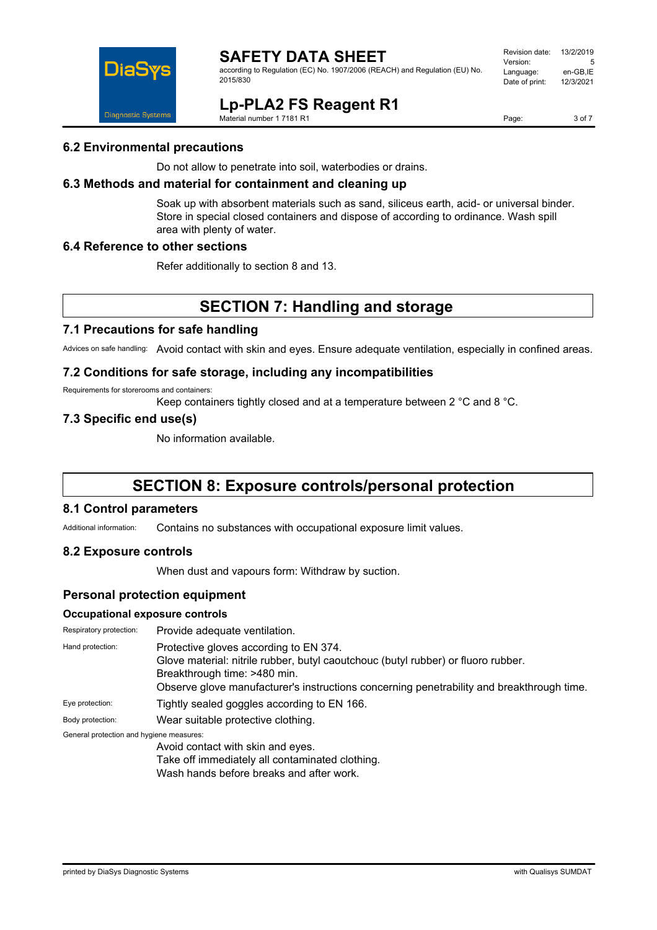

according to Regulation (EC) No. 1907/2006 (REACH) and Regulation (EU) No. 2015/830

| Revision date: | 13/2/2019 |
|----------------|-----------|
| Version:       | 5         |
| Language:      | en-GB,IE  |
| Date of print: | 12/3/2021 |
|                |           |

**Lp-PLA2 FS Reagent R1**

Material number 1 7181 R1

Page: 3 of 7

#### **6.2 Environmental precautions**

Do not allow to penetrate into soil, waterbodies or drains.

### **6.3 Methods and material for containment and cleaning up**

Soak up with absorbent materials such as sand, siliceus earth, acid- or universal binder. Store in special closed containers and dispose of according to ordinance. Wash spill area with plenty of water.

#### **6.4 Reference to other sections**

Refer additionally to section 8 and 13.

# **SECTION 7: Handling and storage**

#### **7.1 Precautions for safe handling**

Advices on safe handling: Avoid contact with skin and eyes. Ensure adequate ventilation, especially in confined areas.

#### **7.2 Conditions for safe storage, including any incompatibilities**

Requirements for storerooms and containers:

Keep containers tightly closed and at a temperature between 2 °C and 8 °C.

#### **7.3 Specific end use(s)**

No information available.

# **SECTION 8: Exposure controls/personal protection**

#### **8.1 Control parameters**

Additional information: Contains no substances with occupational exposure limit values.

#### **8.2 Exposure controls**

When dust and vapours form: Withdraw by suction.

### **Personal protection equipment**

#### **Occupational exposure controls**

| Respiratory protection:                  | Provide adequate ventilation.                                                                                                                                                                                                                            |
|------------------------------------------|----------------------------------------------------------------------------------------------------------------------------------------------------------------------------------------------------------------------------------------------------------|
| Hand protection:                         | Protective gloves according to EN 374.<br>Glove material: nitrile rubber, butyl caoutchouc (butyl rubber) or fluoro rubber.<br>Breakthrough time: >480 min.<br>Observe glove manufacturer's instructions concerning penetrability and breakthrough time. |
| Eye protection:                          | Tightly sealed goggles according to EN 166.                                                                                                                                                                                                              |
| Body protection:                         | Wear suitable protective clothing.                                                                                                                                                                                                                       |
| General protection and hygiene measures: |                                                                                                                                                                                                                                                          |
|                                          | Avoid contact with skin and eyes.                                                                                                                                                                                                                        |
|                                          | Take off immediately all contaminated clothing.                                                                                                                                                                                                          |

Wash hands before breaks and after work.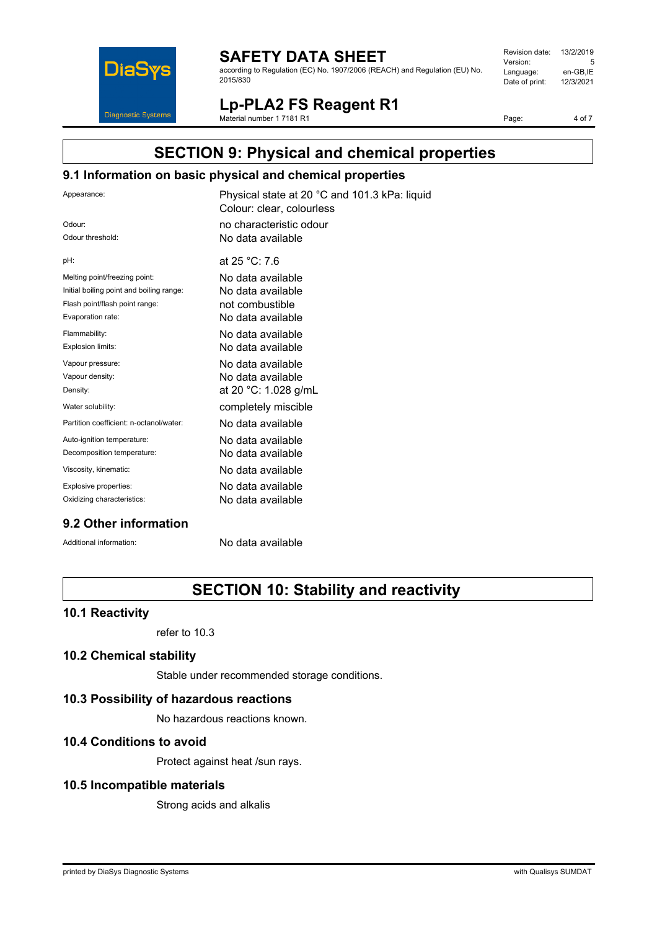

according to Regulation (EC) No. 1907/2006 (REACH) and Regulation (EU) No. 2015/830

| Revision date: | 13/2/2019 |
|----------------|-----------|
| Version:       | 5         |
| Language:      | en-GB,IE  |
| Date of print: | 12/3/2021 |
|                |           |

**Lp-PLA2 FS Reagent R1**

Material number 1 7181 R1

Page: 4 of 7

# **SECTION 9: Physical and chemical properties**

### **9.1 Information on basic physical and chemical properties**

| Appearance:                              | Physical state at 20 °C and 101.3 kPa: liquid<br>Colour: clear, colourless |
|------------------------------------------|----------------------------------------------------------------------------|
| Odour:                                   | no characteristic odour                                                    |
| Odour threshold:                         | No data available                                                          |
| pH:                                      | at 25 °C: 7.6                                                              |
| Melting point/freezing point:            | No data available                                                          |
| Initial boiling point and boiling range: | No data available                                                          |
| Flash point/flash point range:           | not combustible                                                            |
| Evaporation rate:                        | No data available                                                          |
| Flammability:                            | No data available                                                          |
| Explosion limits:                        | No data available                                                          |
| Vapour pressure:                         | No data available                                                          |
| Vapour density:                          | No data available                                                          |
| Density:                                 | at 20 °C: 1.028 g/mL                                                       |
| Water solubility:                        | completely miscible                                                        |
| Partition coefficient: n-octanol/water:  | No data available                                                          |
| Auto-ignition temperature:               | No data available                                                          |
| Decomposition temperature:               | No data available                                                          |
| Viscosity, kinematic:                    | No data available                                                          |
| Explosive properties:                    | No data available                                                          |
| Oxidizing characteristics:               | No data available                                                          |
|                                          |                                                                            |

### **9.2 Other information**

Additional information: No data available

# **SECTION 10: Stability and reactivity**

#### **10.1 Reactivity**

refer to 10.3

#### **10.2 Chemical stability**

Stable under recommended storage conditions.

#### **10.3 Possibility of hazardous reactions**

No hazardous reactions known.

#### **10.4 Conditions to avoid**

Protect against heat /sun rays.

#### **10.5 Incompatible materials**

Strong acids and alkalis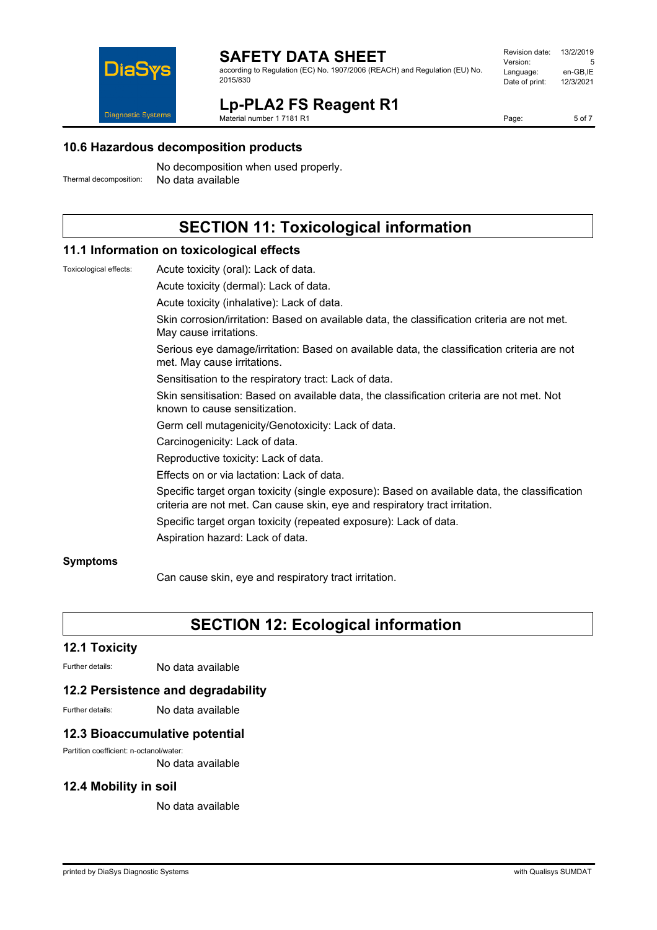

according to Regulation (EC) No. 1907/2006 (REACH) and Regulation (EU) No. 2015/830

| Revision date: | 13/2/2019 |
|----------------|-----------|
| Version:       | 5         |
| Language:      | en-GB.IE  |
| Date of print: | 12/3/2021 |
|                |           |

**Lp-PLA2 FS Reagent R1** Material number 1 7181 R1

Page: 5 of 7

**10.6 Hazardous decomposition products**

No decomposition when used properly. Thermal decomposition: No data available

# **SECTION 11: Toxicological information**

#### **11.1 Information on toxicological effects**

Toxicological effects: Acute toxicity (oral): Lack of data. Acute toxicity (dermal): Lack of data.

Acute toxicity (inhalative): Lack of data.

Skin corrosion/irritation: Based on available data, the classification criteria are not met. May cause irritations.

Serious eye damage/irritation: Based on available data, the classification criteria are not met. May cause irritations.

Sensitisation to the respiratory tract: Lack of data.

Skin sensitisation: Based on available data, the classification criteria are not met. Not known to cause sensitization.

Germ cell mutagenicity/Genotoxicity: Lack of data.

Carcinogenicity: Lack of data.

Reproductive toxicity: Lack of data.

Effects on or via lactation: Lack of data.

Specific target organ toxicity (single exposure): Based on available data, the classification criteria are not met. Can cause skin, eye and respiratory tract irritation.

Specific target organ toxicity (repeated exposure): Lack of data.

Aspiration hazard: Lack of data.

#### **Symptoms**

Can cause skin, eye and respiratory tract irritation.

# **SECTION 12: Ecological information**

#### **12.1 Toxicity**

Further details: No data available

#### **12.2 Persistence and degradability**

Further details: No data available

#### **12.3 Bioaccumulative potential**

Partition coefficient: n-octanol/water:

No data available

#### **12.4 Mobility in soil**

No data available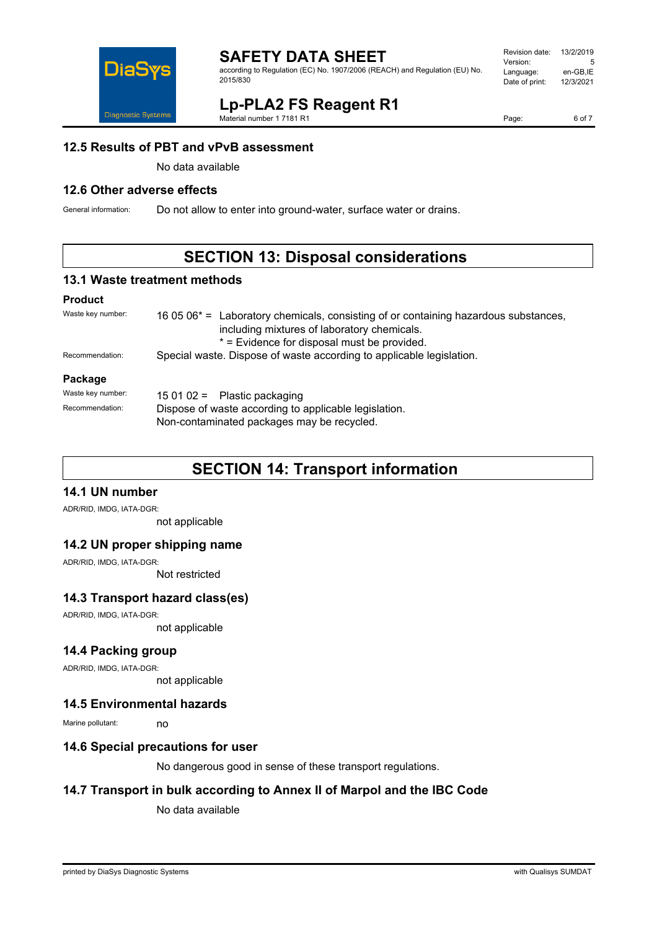

according to Regulation (EC) No. 1907/2006 (REACH) and Regulation (EU) No. 2015/830

#### Revision date: 13/2/2019 Version: Language: en-GB,IE<br>Date of print: 12/3/2021 Date of print:

**Lp-PLA2 FS Reagent R1**

Material number 1 7181 R1

Page: 6 of 7

#### **12.5 Results of PBT and vPvB assessment**

No data available

### **12.6 Other adverse effects**

General information: Do not allow to enter into ground-water, surface water or drains.

# **SECTION 13: Disposal considerations**

#### **13.1 Waste treatment methods**

#### **Product**

| Waste key number: | 16 05 $06*$ = Laboratory chemicals, consisting of or containing hazardous substances,<br>including mixtures of laboratory chemicals.<br>* = Evidence for disposal must be provided. |  |
|-------------------|-------------------------------------------------------------------------------------------------------------------------------------------------------------------------------------|--|
| Recommendation:   | Special waste. Dispose of waste according to applicable legislation.                                                                                                                |  |
| Package           |                                                                                                                                                                                     |  |
| Waste key number: | 15 01 02 = Plastic packaging                                                                                                                                                        |  |
| Recommendation:   | Dispose of waste according to applicable legislation.<br>Non-contaminated packages may be recycled.                                                                                 |  |

# **SECTION 14: Transport information**

#### **14.1 UN number**

ADR/RID, IMDG, IATA-DGR:

not applicable

#### **14.2 UN proper shipping name**

ADR/RID, IMDG, IATA-DGR:

Not restricted

#### **14.3 Transport hazard class(es)**

ADR/RID, IMDG, IATA-DGR:

not applicable

#### **14.4 Packing group**

ADR/RID, IMDG, IATA-DGR:

not applicable

#### **14.5 Environmental hazards**

Marine pollutant: no

#### **14.6 Special precautions for user**

No dangerous good in sense of these transport regulations.

### **14.7 Transport in bulk according to Annex II of Marpol and the IBC Code**

No data available